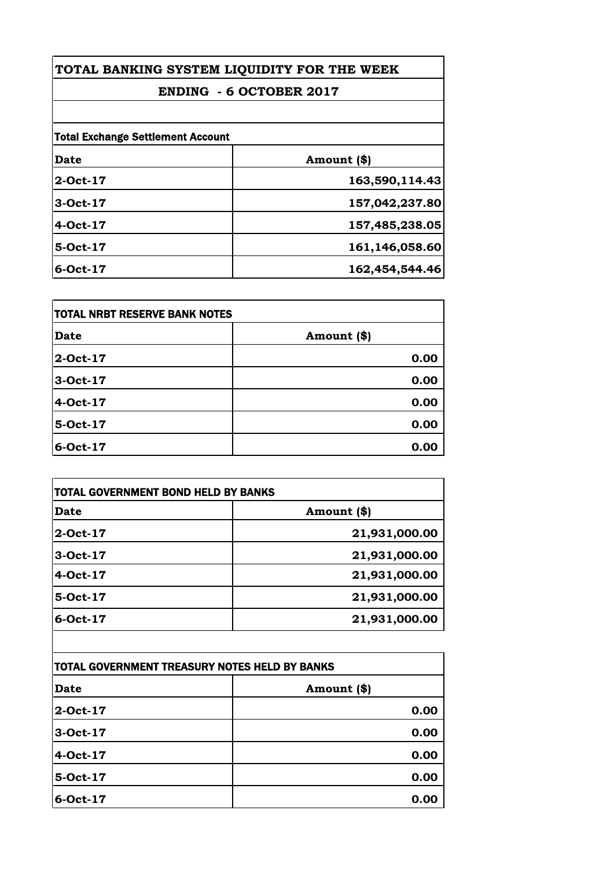# **ENDING - 6 OCTOBER 2017**

| <b>Total Exchange Settlement Account</b> |                |
|------------------------------------------|----------------|
| <b>Date</b>                              | Amount (\$)    |
| 2-Oct-17                                 | 163,590,114.43 |
| 3-Oct-17                                 | 157,042,237.80 |
| 4-Oct-17                                 | 157,485,238.05 |
| 5-Oct-17                                 | 161,146,058.60 |
| 6-Oct-17                                 | 162,454,544.46 |

| <b>TOTAL NRBT RESERVE BANK NOTES</b> |             |
|--------------------------------------|-------------|
| <b>Date</b>                          | Amount (\$) |
| 2-Oct-17                             | 0.00        |
| 3-Oct-17                             | 0.00        |
| 4-Oct-17                             | 0.00        |
| 5-Oct-17                             | 0.00        |
| 6-Oct-17                             | 0.00        |

| Date     | Amount (\$)   |
|----------|---------------|
| 2-Oct-17 | 21,931,000.00 |
| 3-Oct-17 | 21,931,000.00 |
| 4-Oct-17 | 21,931,000.00 |
| 5-Oct-17 | 21,931,000.00 |
| 6-Oct-17 | 21,931,000.00 |

| TOTAL GOVERNMENT TREASURY NOTES HELD BY BANKS |             |
|-----------------------------------------------|-------------|
| Date                                          | Amount (\$) |
| 2-Oct-17                                      | 0.00        |
| 3-Oct-17                                      | 0.00        |
| 4-Oct-17                                      | 0.00        |
| 5-Oct-17                                      | 0.00        |
| 6-Oct-17                                      | 0.00        |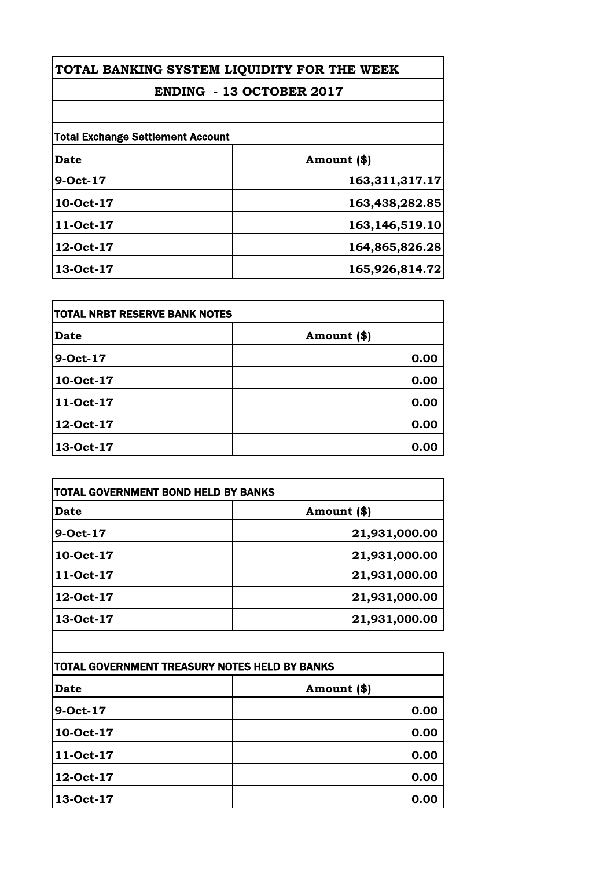# **ENDING - 13 OCTOBER 2017**

| <b>Total Exchange Settlement Account</b> |                   |
|------------------------------------------|-------------------|
| Date                                     | Amount (\$)       |
| 9-Oct-17                                 | 163,311,317.17    |
| 10-Oct-17                                | 163,438,282.85    |
| 11-Oct-17                                | 163, 146, 519. 10 |
| 12-Oct-17                                | 164,865,826.28    |
| 13-Oct-17                                | 165,926,814.72    |

| <b>TOTAL NRBT RESERVE BANK NOTES</b> |             |
|--------------------------------------|-------------|
| <b>Date</b>                          | Amount (\$) |
| 9-Oct-17                             | 0.00        |
| 10-Oct-17                            | 0.00        |
| 11-Oct-17                            | 0.00        |
| 12-Oct-17                            | 0.00        |
| 13-Oct-17                            | 0.00        |

| Date      | Amount (\$)   |
|-----------|---------------|
| 9-Oct-17  | 21,931,000.00 |
| 10-Oct-17 | 21,931,000.00 |
| 11-Oct-17 | 21,931,000.00 |
| 12-Oct-17 | 21,931,000.00 |
| 13-Oct-17 | 21,931,000.00 |

| TOTAL GOVERNMENT TREASURY NOTES HELD BY BANKS |             |
|-----------------------------------------------|-------------|
| Date                                          | Amount (\$) |
| 9-Oct-17                                      | 0.00        |
| 10-Oct-17                                     | 0.00        |
| 11-Oct-17                                     | 0.00        |
| 12-Oct-17                                     | 0.00        |
| 13-Oct-17                                     | 0.00        |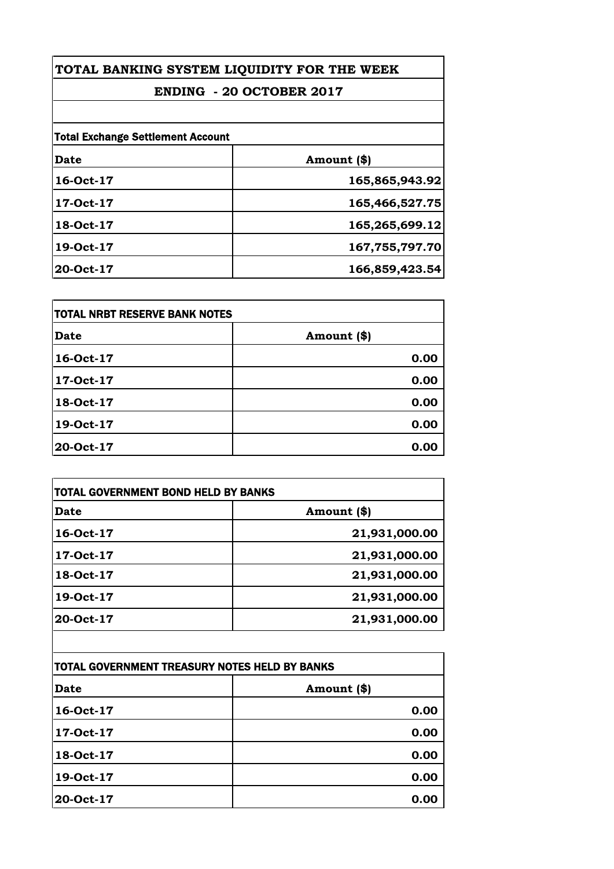# **ENDING - 20 OCTOBER 2017**

| <b>Total Exchange Settlement Account</b> |                |
|------------------------------------------|----------------|
| <b>Date</b>                              | Amount (\$)    |
| 16-Oct-17                                | 165,865,943.92 |
| 17-Oct-17                                | 165,466,527.75 |
| 18-Oct-17                                | 165,265,699.12 |
| 19-Oct-17                                | 167,755,797.70 |
| 20-Oct-17                                | 166,859,423.54 |

| <b>TOTAL NRBT RESERVE BANK NOTES</b> |             |
|--------------------------------------|-------------|
| <b>Date</b>                          | Amount (\$) |
| 16-Oct-17                            | 0.00        |
| 17-Oct-17                            | 0.00        |
| 18-Oct-17                            | 0.00        |
| 19-Oct-17                            | 0.00        |
| 20-Oct-17                            | 0.00        |

| Date      | Amount (\$)   |
|-----------|---------------|
| 16-Oct-17 | 21,931,000.00 |
| 17-Oct-17 | 21,931,000.00 |
| 18-Oct-17 | 21,931,000.00 |
| 19-Oct-17 | 21,931,000.00 |
| 20-Oct-17 | 21,931,000.00 |

| TOTAL GOVERNMENT TREASURY NOTES HELD BY BANKS |             |
|-----------------------------------------------|-------------|
| Date                                          | Amount (\$) |
| 16-Oct-17                                     | 0.00        |
| 17-Oct-17                                     | 0.00        |
| 18-Oct-17                                     | 0.00        |
| 19-Oct-17                                     | 0.00        |
| 20-Oct-17                                     | 0.00        |